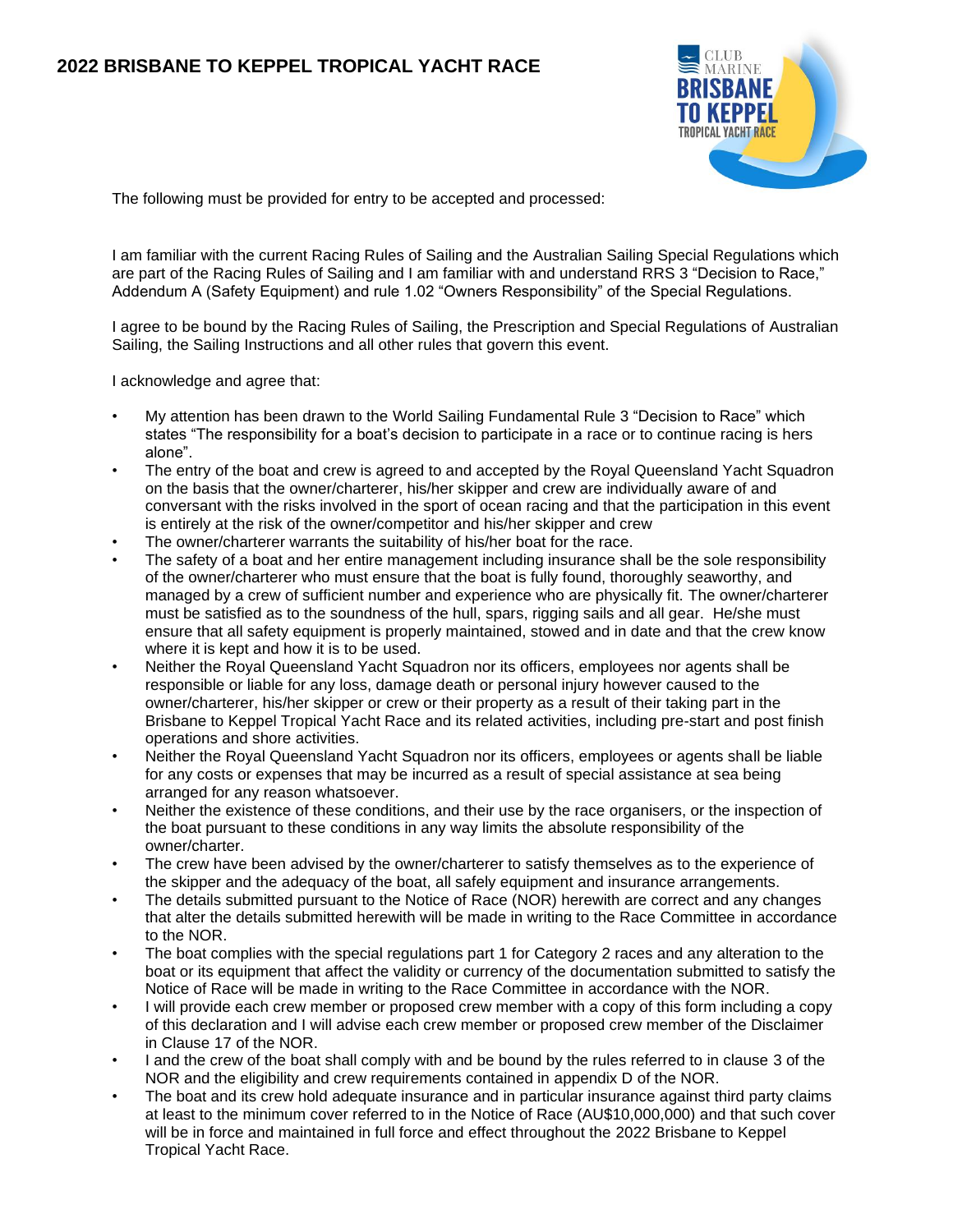

The following must be provided for entry to be accepted and processed:

I am familiar with the current Racing Rules of Sailing and the Australian Sailing Special Regulations which are part of the Racing Rules of Sailing and I am familiar with and understand RRS 3 "Decision to Race," Addendum A (Safety Equipment) and rule 1.02 "Owners Responsibility" of the Special Regulations.

I agree to be bound by the Racing Rules of Sailing, the Prescription and Special Regulations of Australian Sailing, the Sailing Instructions and all other rules that govern this event.

I acknowledge and agree that:

- My attention has been drawn to the World Sailing Fundamental Rule 3 "Decision to Race" which states "The responsibility for a boat's decision to participate in a race or to continue racing is hers alone".
- The entry of the boat and crew is agreed to and accepted by the Royal Queensland Yacht Squadron on the basis that the owner/charterer, his/her skipper and crew are individually aware of and conversant with the risks involved in the sport of ocean racing and that the participation in this event is entirely at the risk of the owner/competitor and his/her skipper and crew
- The owner/charterer warrants the suitability of his/her boat for the race.
- The safety of a boat and her entire management including insurance shall be the sole responsibility of the owner/charterer who must ensure that the boat is fully found, thoroughly seaworthy, and managed by a crew of sufficient number and experience who are physically fit. The owner/charterer must be satisfied as to the soundness of the hull, spars, rigging sails and all gear. He/she must ensure that all safety equipment is properly maintained, stowed and in date and that the crew know where it is kept and how it is to be used.
- Neither the Royal Queensland Yacht Squadron nor its officers, employees nor agents shall be responsible or liable for any loss, damage death or personal injury however caused to the owner/charterer, his/her skipper or crew or their property as a result of their taking part in the Brisbane to Keppel Tropical Yacht Race and its related activities, including pre-start and post finish operations and shore activities.
- Neither the Royal Queensland Yacht Squadron nor its officers, employees or agents shall be liable for any costs or expenses that may be incurred as a result of special assistance at sea being arranged for any reason whatsoever.
- Neither the existence of these conditions, and their use by the race organisers, or the inspection of the boat pursuant to these conditions in any way limits the absolute responsibility of the owner/charter.
- The crew have been advised by the owner/charterer to satisfy themselves as to the experience of the skipper and the adequacy of the boat, all safely equipment and insurance arrangements.
- The details submitted pursuant to the Notice of Race (NOR) herewith are correct and any changes that alter the details submitted herewith will be made in writing to the Race Committee in accordance to the NOR.
- The boat complies with the special regulations part 1 for Category 2 races and any alteration to the boat or its equipment that affect the validity or currency of the documentation submitted to satisfy the Notice of Race will be made in writing to the Race Committee in accordance with the NOR.
- I will provide each crew member or proposed crew member with a copy of this form including a copy of this declaration and I will advise each crew member or proposed crew member of the Disclaimer in Clause 17 of the NOR.
- I and the crew of the boat shall comply with and be bound by the rules referred to in clause 3 of the NOR and the eligibility and crew requirements contained in appendix D of the NOR.
- The boat and its crew hold adequate insurance and in particular insurance against third party claims at least to the minimum cover referred to in the Notice of Race (AU\$10,000,000) and that such cover will be in force and maintained in full force and effect throughout the 2022 Brisbane to Keppel Tropical Yacht Race.